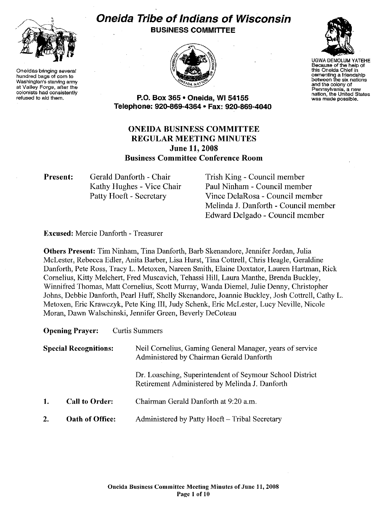

**Oneidas bringing several hundred bags of corn to Washington's starving army at Valley Forge, after the colonists had consistently refused to aid them.** 

# **Oneida Tribe of Indians of Wisconsin BUSINESS COMMITTEE**





UGWA DEMOLUM YATEHE **Because of the help of this Oneida Chief in cementing a friendship between the six nations and the colony of Pennsylvania, a new**  was made possible.

**P.O. Box 365 • Oneida, WI 54155 Telepnone: 920-869-4364 • Fax: 920-869-4040** 

# **ONEIDA BUSINESS COMMITTEE REGULAR MEETING MINUTES June 11, 2008 Business Committee Conference Room**

**Present:** 

Gerald Danforth - Chair Kathy Hughes - Vice Chair Patty Hoeft - Secretary

Trish King - Council member Paul Ninham - Council member Vince DelaRosa - Council member Melinda **J.** Danforth- Council member Edward Delgado - Council member

**Excused:** Mercie Danforth- Treasurer

**Others Present:** Tim Ninham, Tina Danforth, Barb Skenandore, Jennifer Jordan, Julia McLester, Rebecca Edler, Anita Barber, Lisa Hurst, Tina Cottrell, Chris Heagle, Geraldine Danforth, Pete Ross, Tracy L. Metoxen, Nareen Smith, Elaine Doxtator, Lauren Hartman, Rick Cornelius, Kitty Melchert, Fred Muscavich, Tehassi Hill, Laura Manthe, Brenda Buckley, Winnifred Thomas, Matt Cornelius, Scott Murray, Wanda Diemel, Julie Denny, Christopher Johns, Debbie Danforth, Pearl Huff, Shelly Skenandore, Joannie Buckley, Josh Cottrell, Cathy L. Metoxen, Eric Krawczyk, Pete King III, Judy Schenk, Eric McLester, Lucy Neville, Nicole Moran, Dawn Walschinski, Jennifer Green, Beverly DeCoteau

**Opening Prayer:** Curtis Summers

| <b>Special Recognitions:</b> |                       | Neil Cornelius, Gaming General Manager, years of service<br>Administered by Chairman Gerald Danforth       |  |
|------------------------------|-----------------------|------------------------------------------------------------------------------------------------------------|--|
|                              |                       | Dr. Loasching, Superintendent of Seymour School District<br>Retirement Administered by Melinda J. Danforth |  |
| 1.                           | <b>Call to Order:</b> | Chairman Gerald Danforth at 9:20 a.m.                                                                      |  |
| 2.                           | Oath of Office:       | Administered by Patty Hoeft – Tribal Secretary                                                             |  |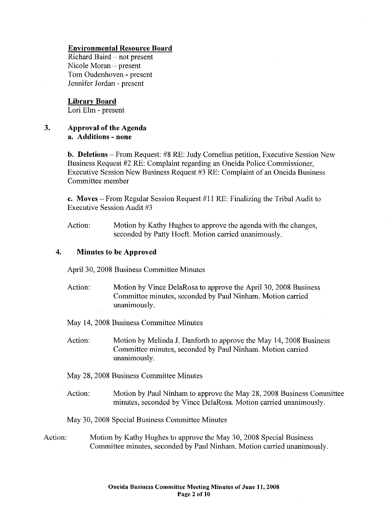#### Environmental Resource Board

Richard Baird - not present Nicole Moran- present Tom Oudenhoven - present Jennifer Jordan - present

#### Library Board

Lori Elm - present

#### 3. Approval of the Agenda a. Additions - none

b. Deletions- From Request: #8 RE: Judy Cornelius petition, Executive Session New Business Request #2 RE: Complaint regarding an Oneida Police Commissioner, Executive Session New Business Request #3 RE: Complaint of an Oneida Business Committee member

c. Moves – From Regular Session Request  $#11$  RE: Finalizing the Tribal Audit to Executive Session Audit #3

Action: Motion by Kathy Hughes to approve the agenda with the changes, seconded by Patty Hoeft. Motion carried unanimously.

### 4. Minutes to be Approved

April 30, 2008 Business Committee Minutes

Action: Motion by Vince DelaRosa to approve the April 30, 2008 Business Committee minutes, seconded by Paul Ninham. Motion carried unanimously.

May 14,2008 Business Committee Minutes

Action: Motion by Melinda J. Danforth to approve the May 14, 2008 Business Committee minutes, seconded by Paul Ninham. Motion carried unanimously.

May 28, 2008 Business Committee Minutes

Action: Motion by Paul Ninham to approve the May 28, 2008 Business Committee minutes, seconded by Vince DelaRosa. Motion carried unanimously.

May 30, 2008 Special Business Committee Minutes

Action: Motion by Kathy Hughes to approve the May 30, 2008 Special Business Committee minutes, seconded by Paul Ninham. Motion carried unanimously.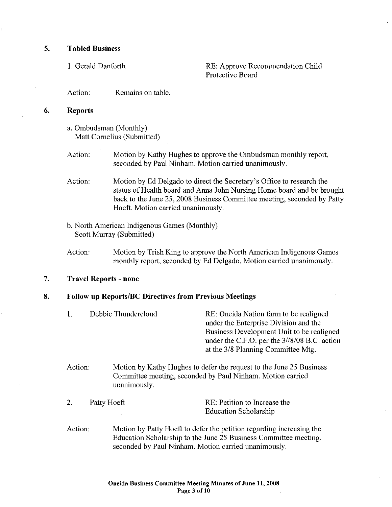#### 5. Tabled Business

I. Gerald Danforth RE: Approve Recommendation Child Protective Board

Action: Remains on table.

#### 6. Reports

- a. Ombudsman (Monthly) Matt Cornelius (Submitted)
- Action: Motion by Kathy Hughes to approve the Ombudsman monthly report, seconded by Paul Ninham. Motion carried unanimously.
- Action: Motion by Ed Delgado to direct the Secretary's Office to research the status of Health board and Anna John Nursing Home board and be brought back to the June 25, 2008 Business Committee meeting, seconded by Patty Hoeft. Motion carried unanimously.
- b. North American Indigenous Games (Monthly) Scott Murray (Submitted)
- Action: Motion by Trish King to approve the North American Indigenous Games monthly report, seconded by Ed Delgado. Motion carried unanimously.

### 7. Travel Reports- none

## 8. Follow up Reports/BC Directives from Previous Meetings

| 1. | Debbie Thundercloud | RE: Oneida Nation farm to be realigned       |
|----|---------------------|----------------------------------------------|
|    |                     | under the Enterprise Division and the        |
|    |                     | Business Development Unit to be realigned    |
|    |                     | under the C.F.O. per the 3//8/08 B.C. action |
|    |                     | at the 3/8 Planning Committee Mtg.           |

- Action: Motion by Kathy Hughes to defer the request to the June 25 Business Committee meeting, seconded by Paul Ninham. Motion carried unanimously.
- 2. Patty Hoeft RE: Petition to Increase the Education Scholarship
- Action: Motion by Patty Hoeft to defer the petition regarding increasing the Education Scholarship to the June 25 Business Committee meeting, seconded by Paul Ninham. Motion carried unanimously.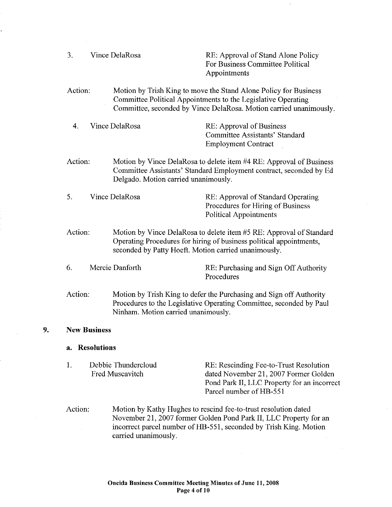3. Vince DelaRosa RE: Approval of Stand Alone Policy For Business Committee Political Appointments

Action: Motion by Trish King to move the Stand Alone Policy for Business Committee Political Appointments to the Legislative Operating Committee, seconded by Vince DelaRosa. Motion carried unanimously.

4. Vince DelaRosa RE: Approval of Business Committee Assistants' Standard Employment Contract

- Action: Motion by Vince DelaRosa to delete item #4 RE: Approval of Business Committee Assistants' Standard Employment contract, seconded by Ed Delgado. Motion carried unanimously.
- 5. Vince DelaRosa RE: Approval of Standard Operating Procedures for Hiring of Business Political Appointments
- Action: Motion by Vince DelaRosa to delete item #5 RE: Approval of Standard Operating Procedures for hiring of business political appointments, seconded by Patty Hoeft. Motion carried unanimously.
- 6. Mercie Danforth RE: Purchasing and Sign Off Authority Procedures
- Action: Motion by Trish King to defer the Purchasing and Sign off Authority Procedures to the Legislative Operating Committee, seconded by Paul Ninham. Motion carried unanimously.

#### **9. New Business**

#### **a. Resolutions**

- I. Debbie Thundercloud Fred Muscavitch RE: Rescinding Fee-to-Trust Resolution dated November 21, 2007 Former Golden Pond Park II, LLC Property for an incorrect Parcel number of HB-551
- Action: Motion by Kathy Hughes to rescind fee-to-trust resolution dated November 21,2007 former Golden Pond Park II, LLC Property for an incorrect parcel number of HB-551, seconded by Trish King. Motion carried unanimously.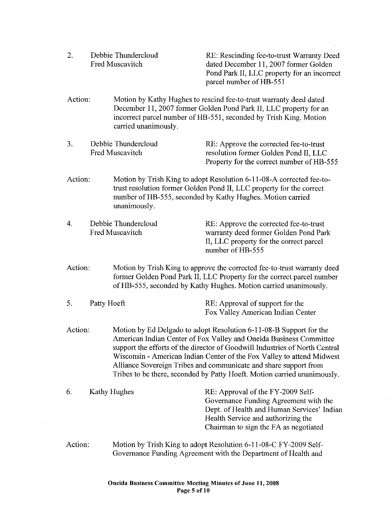2. Debbie Thundercloud Fred Muscavitch

RE: Rescinding fee-to-trust Warranty Deed dated December II, 2007 former Golden Pond Park II, LLC property for an incorrect parcel number of HB-551

- Action: Motion by Kathy Hughes to rescind fee-to-trust warranty deed dated December II, 2007 former Golden Pond Park II, LLC property for an incorrect parcel number of HB-551, seconded by Trish King. Motion carried unanimously.
- 3. Debbie Thundercloud Fred Muscavitch RE: Approve the corrected fee-to-trust resolution former Golden Pond II, LLC Property for the correct number of HB-555
- Action: Motion by Trish King to adopt Resolution 6-11-08-A corrected fee-totrust resolution former Golden Pond II, LLC property for the correct number of HB-555, seconded by Kathy Hughes. Motion carried unanimously.
- 4. Debbie Thundercloud Fred Muscavitch RE: Approve the corrected fee-to-trust warranty deed former Golden Pond Park II, LLC property for the correct parcel number of HB-555
- Action: Motion by Trish King to approve the corrected fee-to-trust warranty deed former Golden Pond Park II, LLC Property for the correct parcel number ofHB-555, seconded by Kathy Hughes. Motion carried unanimously.
- 5. Patty Hoeft RE: Approval of support for the Fox Valley American Indian Center
- Action: Motion by Ed Delgado to adopt Resolution 6-11-08-B Support for the American Indian Center of Fox Valley and Oneida Business Committee support the efforts of the director of Goodwill Industries of North Central Wisconsin- American Indian Center of the Fox Valley to attend Midwest Alliance Sovereign Tribes and communicate and share support from Tribes to be there, seconded by Patty Hoeft. Motion carried unanimously.
- 6. Kathy Hughes RE: Approval of the FY-2009 Self-Governance Funding Agreement with the Dept. of Health and Human Services' Indian Health Service and authorizing the Chairman to sign the FA as negotiated
- Action: Motion by Trish King to adopt Resolution 6-11-08-C FY -2009 Self-Governance Funding Agreement with the Department of Health and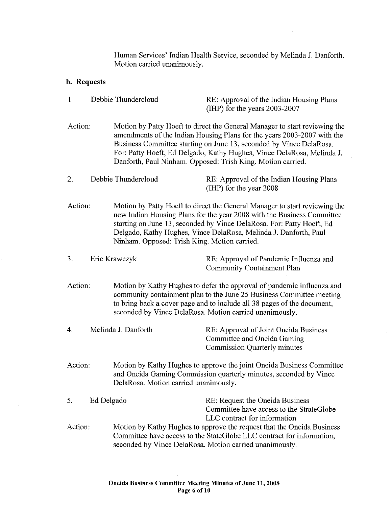Human Services' Indian Health Service, seconded by Melinda J. Danforth. Motion carried unanimously.

 $\sim$ 

 $\bar{\omega}$ 

 $\mathcal{A}^{\mathcal{A}}$ 

# b. Requests

 $\hat{\mathcal{A}}$ 

| $\mathbf{1}$ |            | Debbie Thundercloud                                                                                                                                                                                        | RE: Approval of the Indian Housing Plans<br>(IHP) for the years $2003-2007$                                                                                                                                                                                                                                                                                           |  |
|--------------|------------|------------------------------------------------------------------------------------------------------------------------------------------------------------------------------------------------------------|-----------------------------------------------------------------------------------------------------------------------------------------------------------------------------------------------------------------------------------------------------------------------------------------------------------------------------------------------------------------------|--|
| Action:      |            |                                                                                                                                                                                                            | Motion by Patty Hoeft to direct the General Manager to start reviewing the<br>amendments of the Indian Housing Plans for the years 2003-2007 with the<br>Business Committee starting on June 13, seconded by Vince DelaRosa.<br>For: Patty Hoeft, Ed Delgado, Kathy Hughes, Vince DelaRosa, Melinda J.<br>Danforth, Paul Ninham. Opposed: Trish King. Motion carried. |  |
| 2.           |            | Debbie Thundercloud                                                                                                                                                                                        | RE: Approval of the Indian Housing Plans<br>(IHP) for the year 2008                                                                                                                                                                                                                                                                                                   |  |
| Action:      |            | Ninham. Opposed: Trish King. Motion carried.                                                                                                                                                               | Motion by Patty Hoeft to direct the General Manager to start reviewing the<br>new Indian Housing Plans for the year 2008 with the Business Committee<br>starting on June 13, seconded by Vince DelaRosa. For: Patty Hoeft, Ed<br>Delgado, Kathy Hughes, Vince DelaRosa, Melinda J. Danforth, Paul                                                                     |  |
| 3.           |            | Eric Krawczyk                                                                                                                                                                                              | RE: Approval of Pandemic Influenza and<br><b>Community Containment Plan</b>                                                                                                                                                                                                                                                                                           |  |
| Action:      |            |                                                                                                                                                                                                            | Motion by Kathy Hughes to defer the approval of pandemic influenza and<br>community containment plan to the June 25 Business Committee meeting<br>to bring back a cover page and to include all 38 pages of the document,<br>seconded by Vince DelaRosa. Motion carried unanimously.                                                                                  |  |
| 4.           |            | Melinda J. Danforth                                                                                                                                                                                        | RE: Approval of Joint Oneida Business<br>Committee and Oneida Gaming<br><b>Commission Quarterly minutes</b>                                                                                                                                                                                                                                                           |  |
| Action:      |            | Motion by Kathy Hughes to approve the joint Oneida Business Committee<br>and Oneida Gaming Commission quarterly minutes, seconded by Vince<br>DelaRosa. Motion carried unanimously.                        |                                                                                                                                                                                                                                                                                                                                                                       |  |
| 5.           | Ed Delgado |                                                                                                                                                                                                            | RE: Request the Oneida Business<br>Committee have access to the StrateGlobe<br>LLC contract for information                                                                                                                                                                                                                                                           |  |
| Action:      |            | Motion by Kathy Hughes to approve the request that the Oneida Business<br>Committee have access to the StateGlobe LLC contract for information,<br>seconded by Vince DelaRosa. Motion carried unanimously. |                                                                                                                                                                                                                                                                                                                                                                       |  |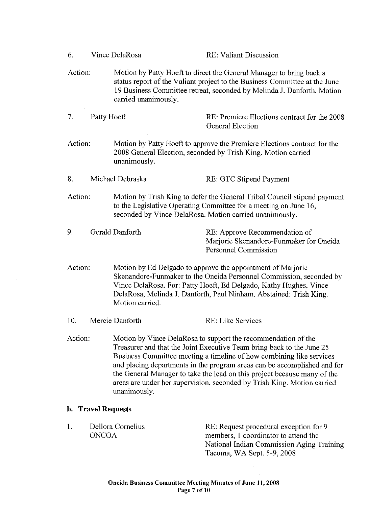| 6.      |                           | Vince DelaRosa       | <b>RE: Valiant Discussion</b>                                                                                                                                                                                                                                                                                                                                                                                                                     |
|---------|---------------------------|----------------------|---------------------------------------------------------------------------------------------------------------------------------------------------------------------------------------------------------------------------------------------------------------------------------------------------------------------------------------------------------------------------------------------------------------------------------------------------|
| Action: |                           | carried unanimously. | Motion by Patty Hoeft to direct the General Manager to bring back a<br>status report of the Valiant project to the Business Committee at the June<br>19 Business Committee retreat, seconded by Melinda J. Danforth. Motion                                                                                                                                                                                                                       |
| 7.      | Patty Hoeft               |                      | RE: Premiere Elections contract for the 2008<br><b>General Election</b>                                                                                                                                                                                                                                                                                                                                                                           |
| Action: |                           | unanimously.         | Motion by Patty Hoeft to approve the Premiere Elections contract for the<br>2008 General Election, seconded by Trish King. Motion carried                                                                                                                                                                                                                                                                                                         |
| 8.      |                           | Michael Debraska     | RE: GTC Stipend Payment                                                                                                                                                                                                                                                                                                                                                                                                                           |
| Action: |                           |                      | Motion by Trish King to defer the General Tribal Council stipend payment<br>to the Legislative Operating Committee for a meeting on June 16,<br>seconded by Vince DelaRosa. Motion carried unanimously.                                                                                                                                                                                                                                           |
| 9.      |                           | Gerald Danforth      | RE: Approve Recommendation of<br>Marjorie Skenandore-Funmaker for Oneida<br><b>Personnel Commission</b>                                                                                                                                                                                                                                                                                                                                           |
| Action: |                           | Motion carried.      | Motion by Ed Delgado to approve the appointment of Marjorie<br>Skenandore-Funmaker to the Oneida Personnel Commission, seconded by<br>Vince DelaRosa. For: Patty Hoeft, Ed Delgado, Kathy Hughes, Vince<br>DelaRosa, Melinda J. Danforth, Paul Ninham. Abstained: Trish King.                                                                                                                                                                     |
| 10.     |                           | Mercie Danforth      | RE: Like Services                                                                                                                                                                                                                                                                                                                                                                                                                                 |
| Action: |                           | unanimously.         | Motion by Vince DelaRosa to support the recommendation of the<br>Treasurer and that the Joint Executive Team bring back to the June 25<br>Business Committee meeting a timeline of how combining like services<br>and placing departments in the program areas can be accomplished and for<br>the General Manager to take the lead on this project because many of the<br>areas are under her supervision, seconded by Trish King. Motion carried |
|         | <b>b.</b> Travel Requests |                      |                                                                                                                                                                                                                                                                                                                                                                                                                                                   |
| 1.      | <b>ONCOA</b>              | Dellora Cornelius    | RE: Request procedural exception for 9<br>members, 1 coordinator to attend the<br>National Indian Commission Aging Training                                                                                                                                                                                                                                                                                                                       |

Tacoma, WA Sept. 5-9, 2008

 $\sim$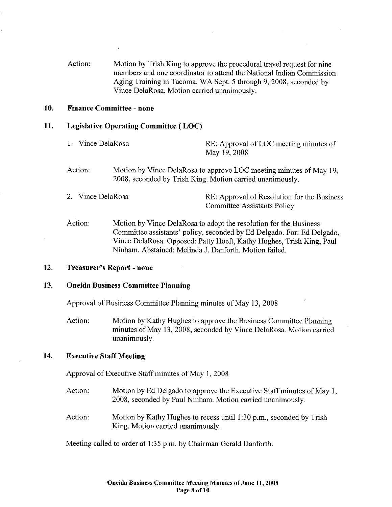Action: Motion by Trish King to approve the procedural travel request for nine members and one coordinator to attend the National Indian Commission Aging Training in Tacoma, WA Sept. 5 through 9, 2008, seconded by Vince DelaRosa. Motion carried unanimously.

#### 10. Finance Committee- none

#### 11. Legislative Operating Committee ( LOC)

- 1. Vince DelaRosa RE: Approval of LOC meeting minutes of May 19,2008
- Action: Motion by Vince DelaRosa to approve LOC meeting minutes of May 19, 2008, seconded by Trish King. Motion carried unanimously.
- 2. Vince DelaRosa **RE:** Approval of Resolution for the Business Committee Assistants Policy

Action: Motion by Vince DelaRosa to adopt the resolution for the Business Committee assistants' policy, seconded by Ed Delgado. For: Ed Delgado, Vince DelaRosa. Opposed: Patty Hoeft, Kathy Hughes, Trish King, Paul Ninham. Abstained: Melinda J. Danforth. Motion failed.

#### 12. Treasurer's Report- none

#### 13. Oneida Business Committee Planning

Approval of Business Committee Planning minutes of May 13,2008

Action: Motion by Kathy Hughes to approve the Business Committee Planning minutes of May 13, 2008, seconded by Vince DelaRosa. Motion carried unanimously.

#### 14. Executive Staff Meeting

Approval of Executive Staff minutes of May 1, 2008

- Action: Motion by Ed Delgado to approve the Executive Staff minutes of May 1, 2008, seconded by Paul Ninham. Motion carried unanimously.
- Action: Motion by Kathy Hughes to recess until 1:30 p.m., seconded by Trish King. Motion carried unanimously.

Meeting called to order at 1:35 p.m. by Chairman Gerald Danforth.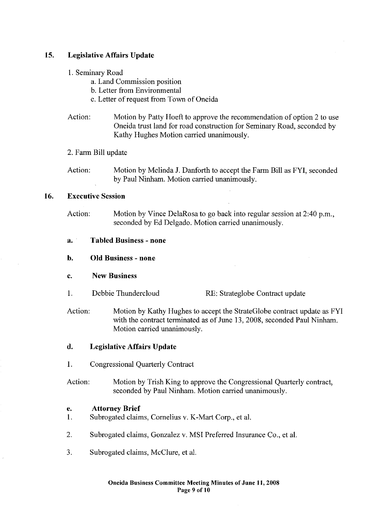### 15. Legislative Affairs Update

- 1. Seminary Road
	- a. Land Commission position
	- b. Letter from Environmental
	- c. Letter of request from Town of Oneida
- Action: Motion by Patty Hoeft to approve the recommendation of option 2 to use Oneida trust land for road construction for Seminary Road, seconded by Kathy Hughes Motion carried unanimously.
- 2. Farm Bill update
- Action: Motion by Melinda J. Danforth to accept the Farm Bill as FYI, seconded by Paul Ninham. Motion carried unanimously.

#### 16. Executive Session

- Action: Motion by Vince DelaRosa to go back into regular session at  $2:40$  p.m., seconded by Ed Delgado. Motion carried unanimously.
- a. Tabled Business none
- b. Old Business none
- c. New Business
- 1. Debbie Thundercloud RE: Strateglobe Contract update
- Action: Motion by Kathy Hughes to accept the StrateGlobe contract update as FYI with the contract terminated as of June 13, 2008, seconded Paul Ninham. Motion carried unanimously.

### d. Legislative Affairs Update

- I. Congressional Quarterly Contract
- Action: Motion by Trish King to approve the Congressional Quarterly contract, seconded by Paul Ninham. Motion carried unanimously.

#### e. Attorney Brief

- 1. Subrogated claims, Cornelius v. K-Mart Corp., eta!.
- 2. Subrogated claims, Gonzalez v. MSI Preferred Insurance Co., et a!.
- 3. Subrogated claims, McClure, et al.